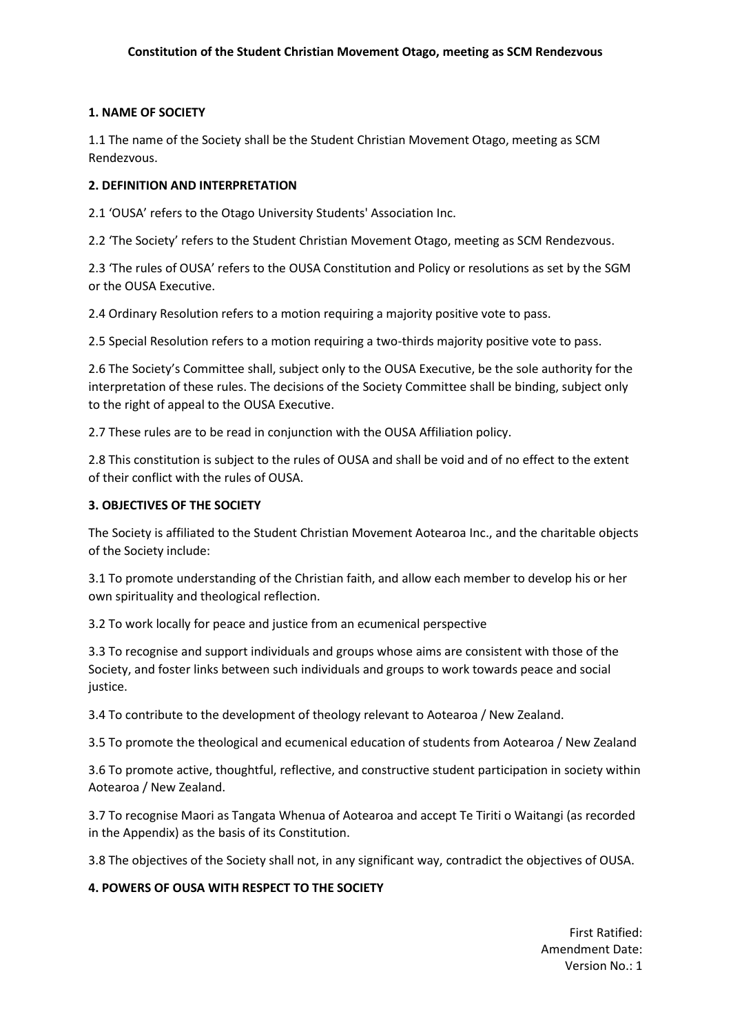## **1. NAME OF SOCIETY**

1.1 The name of the Society shall be the Student Christian Movement Otago, meeting as SCM Rendezvous.

### **2. DEFINITION AND INTERPRETATION**

2.1 'OUSA' refers to the Otago University Students' Association Inc.

2.2 'The Society' refers to the Student Christian Movement Otago, meeting as SCM Rendezvous.

2.3 'The rules of OUSA' refers to the OUSA Constitution and Policy or resolutions as set by the SGM or the OUSA Executive.

2.4 Ordinary Resolution refers to a motion requiring a majority positive vote to pass.

2.5 Special Resolution refers to a motion requiring a two-thirds majority positive vote to pass.

2.6 The Society's Committee shall, subject only to the OUSA Executive, be the sole authority for the interpretation of these rules. The decisions of the Society Committee shall be binding, subject only to the right of appeal to the OUSA Executive.

2.7 These rules are to be read in conjunction with the OUSA Affiliation policy.

2.8 This constitution is subject to the rules of OUSA and shall be void and of no effect to the extent of their conflict with the rules of OUSA.

## **3. OBJECTIVES OF THE SOCIETY**

The Society is affiliated to the Student Christian Movement Aotearoa Inc., and the charitable objects of the Society include:

3.1 To promote understanding of the Christian faith, and allow each member to develop his or her own spirituality and theological reflection.

3.2 To work locally for peace and justice from an ecumenical perspective

3.3 To recognise and support individuals and groups whose aims are consistent with those of the Society, and foster links between such individuals and groups to work towards peace and social justice.

3.4 To contribute to the development of theology relevant to Aotearoa / New Zealand.

3.5 To promote the theological and ecumenical education of students from Aotearoa / New Zealand

3.6 To promote active, thoughtful, reflective, and constructive student participation in society within Aotearoa / New Zealand.

3.7 To recognise Maori as Tangata Whenua of Aotearoa and accept Te Tiriti o Waitangi (as recorded in the Appendix) as the basis of its Constitution.

3.8 The objectives of the Society shall not, in any significant way, contradict the objectives of OUSA.

## **4. POWERS OF OUSA WITH RESPECT TO THE SOCIETY**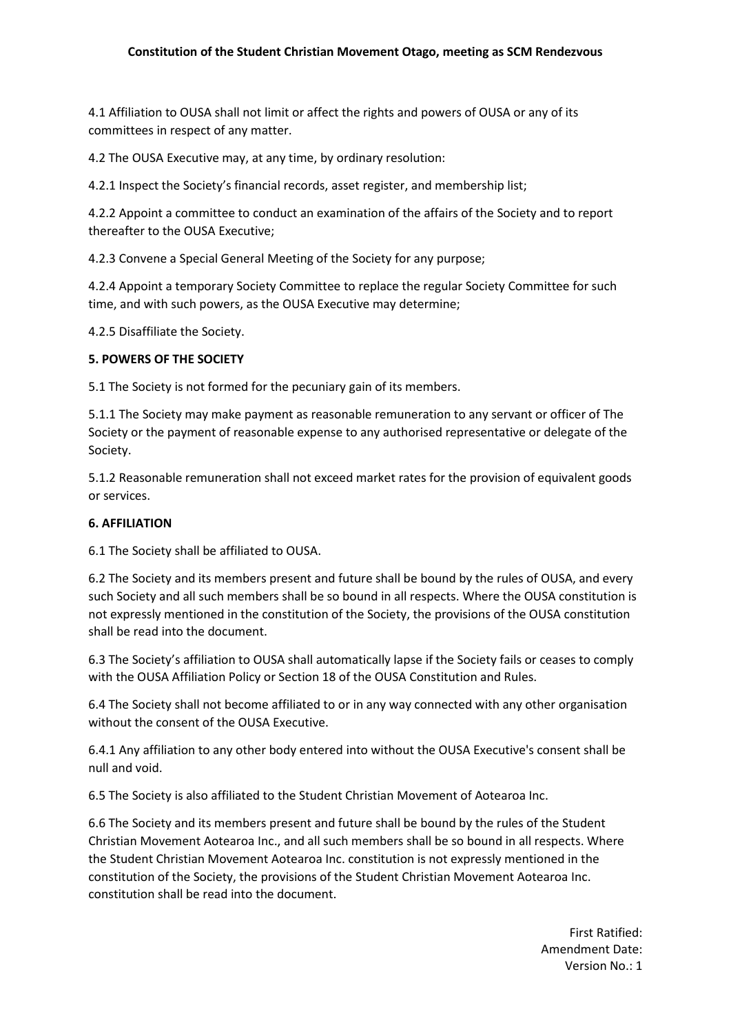4.1 Affiliation to OUSA shall not limit or affect the rights and powers of OUSA or any of its committees in respect of any matter.

4.2 The OUSA Executive may, at any time, by ordinary resolution:

4.2.1 Inspect the Society's financial records, asset register, and membership list;

4.2.2 Appoint a committee to conduct an examination of the affairs of the Society and to report thereafter to the OUSA Executive;

4.2.3 Convene a Special General Meeting of the Society for any purpose;

4.2.4 Appoint a temporary Society Committee to replace the regular Society Committee for such time, and with such powers, as the OUSA Executive may determine;

4.2.5 Disaffiliate the Society.

#### **5. POWERS OF THE SOCIETY**

5.1 The Society is not formed for the pecuniary gain of its members.

5.1.1 The Society may make payment as reasonable remuneration to any servant or officer of The Society or the payment of reasonable expense to any authorised representative or delegate of the Society.

5.1.2 Reasonable remuneration shall not exceed market rates for the provision of equivalent goods or services.

#### **6. AFFILIATION**

6.1 The Society shall be affiliated to OUSA.

6.2 The Society and its members present and future shall be bound by the rules of OUSA, and every such Society and all such members shall be so bound in all respects. Where the OUSA constitution is not expressly mentioned in the constitution of the Society, the provisions of the OUSA constitution shall be read into the document.

6.3 The Society's affiliation to OUSA shall automatically lapse if the Society fails or ceases to comply with the OUSA Affiliation Policy or Section 18 of the OUSA Constitution and Rules.

6.4 The Society shall not become affiliated to or in any way connected with any other organisation without the consent of the OUSA Executive.

6.4.1 Any affiliation to any other body entered into without the OUSA Executive's consent shall be null and void.

6.5 The Society is also affiliated to the Student Christian Movement of Aotearoa Inc.

6.6 The Society and its members present and future shall be bound by the rules of the Student Christian Movement Aotearoa Inc., and all such members shall be so bound in all respects. Where the Student Christian Movement Aotearoa Inc. constitution is not expressly mentioned in the constitution of the Society, the provisions of the Student Christian Movement Aotearoa Inc. constitution shall be read into the document.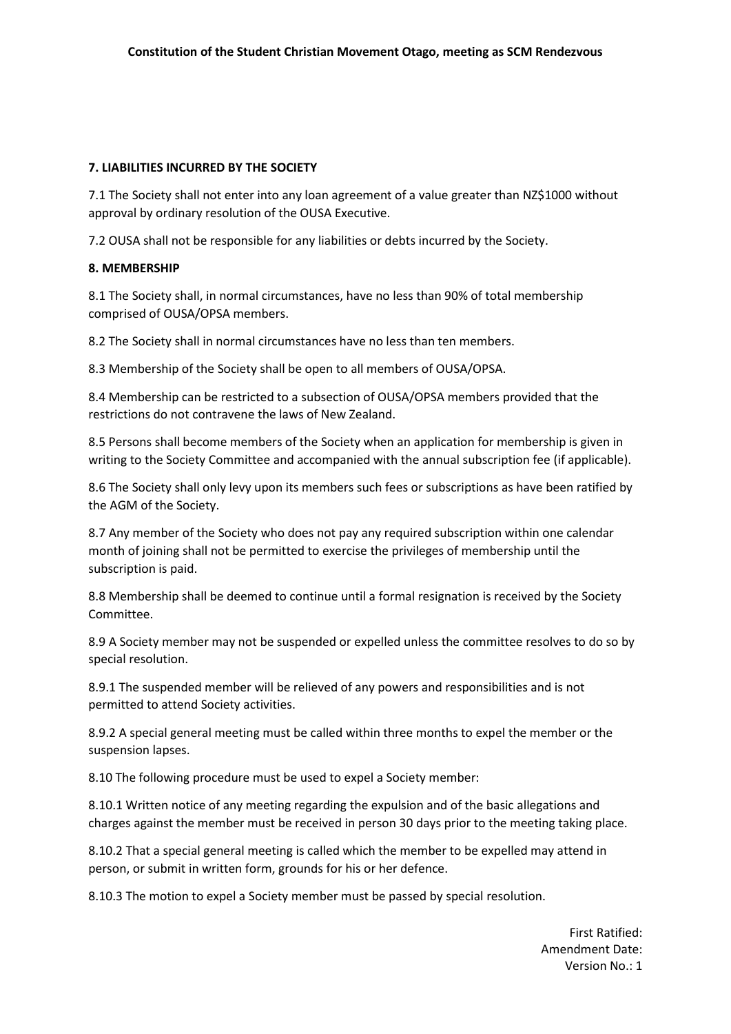## **7. LIABILITIES INCURRED BY THE SOCIETY**

7.1 The Society shall not enter into any loan agreement of a value greater than NZ\$1000 without approval by ordinary resolution of the OUSA Executive.

7.2 OUSA shall not be responsible for any liabilities or debts incurred by the Society.

## **8. MEMBERSHIP**

8.1 The Society shall, in normal circumstances, have no less than 90% of total membership comprised of OUSA/OPSA members.

8.2 The Society shall in normal circumstances have no less than ten members.

8.3 Membership of the Society shall be open to all members of OUSA/OPSA.

8.4 Membership can be restricted to a subsection of OUSA/OPSA members provided that the restrictions do not contravene the laws of New Zealand.

8.5 Persons shall become members of the Society when an application for membership is given in writing to the Society Committee and accompanied with the annual subscription fee (if applicable).

8.6 The Society shall only levy upon its members such fees or subscriptions as have been ratified by the AGM of the Society.

8.7 Any member of the Society who does not pay any required subscription within one calendar month of joining shall not be permitted to exercise the privileges of membership until the subscription is paid.

8.8 Membership shall be deemed to continue until a formal resignation is received by the Society Committee.

8.9 A Society member may not be suspended or expelled unless the committee resolves to do so by special resolution.

8.9.1 The suspended member will be relieved of any powers and responsibilities and is not permitted to attend Society activities.

8.9.2 A special general meeting must be called within three months to expel the member or the suspension lapses.

8.10 The following procedure must be used to expel a Society member:

8.10.1 Written notice of any meeting regarding the expulsion and of the basic allegations and charges against the member must be received in person 30 days prior to the meeting taking place.

8.10.2 That a special general meeting is called which the member to be expelled may attend in person, or submit in written form, grounds for his or her defence.

8.10.3 The motion to expel a Society member must be passed by special resolution.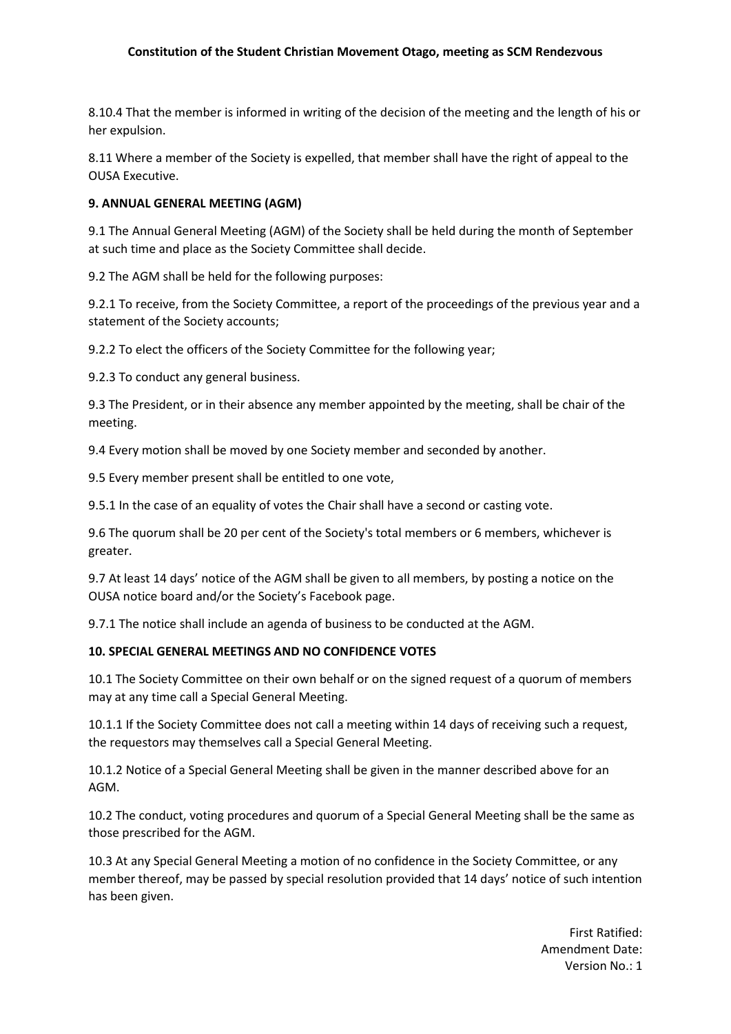8.10.4 That the member is informed in writing of the decision of the meeting and the length of his or her expulsion.

8.11 Where a member of the Society is expelled, that member shall have the right of appeal to the OUSA Executive.

#### **9. ANNUAL GENERAL MEETING (AGM)**

9.1 The Annual General Meeting (AGM) of the Society shall be held during the month of September at such time and place as the Society Committee shall decide.

9.2 The AGM shall be held for the following purposes:

9.2.1 To receive, from the Society Committee, a report of the proceedings of the previous year and a statement of the Society accounts;

9.2.2 To elect the officers of the Society Committee for the following year;

9.2.3 To conduct any general business.

9.3 The President, or in their absence any member appointed by the meeting, shall be chair of the meeting.

9.4 Every motion shall be moved by one Society member and seconded by another.

9.5 Every member present shall be entitled to one vote,

9.5.1 In the case of an equality of votes the Chair shall have a second or casting vote.

9.6 The quorum shall be 20 per cent of the Society's total members or 6 members, whichever is greater.

9.7 At least 14 days' notice of the AGM shall be given to all members, by posting a notice on the OUSA notice board and/or the Society's Facebook page.

9.7.1 The notice shall include an agenda of business to be conducted at the AGM.

#### **10. SPECIAL GENERAL MEETINGS AND NO CONFIDENCE VOTES**

10.1 The Society Committee on their own behalf or on the signed request of a quorum of members may at any time call a Special General Meeting.

10.1.1 If the Society Committee does not call a meeting within 14 days of receiving such a request, the requestors may themselves call a Special General Meeting.

10.1.2 Notice of a Special General Meeting shall be given in the manner described above for an AGM.

10.2 The conduct, voting procedures and quorum of a Special General Meeting shall be the same as those prescribed for the AGM.

10.3 At any Special General Meeting a motion of no confidence in the Society Committee, or any member thereof, may be passed by special resolution provided that 14 days' notice of such intention has been given.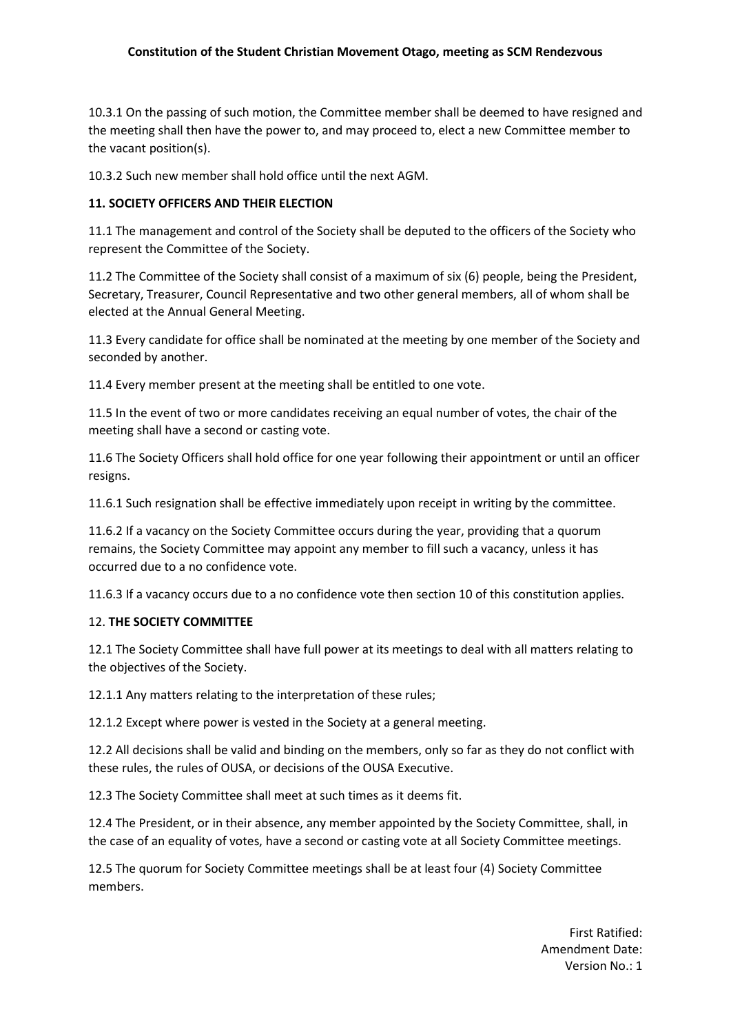10.3.1 On the passing of such motion, the Committee member shall be deemed to have resigned and the meeting shall then have the power to, and may proceed to, elect a new Committee member to the vacant position(s).

10.3.2 Such new member shall hold office until the next AGM.

## **11. SOCIETY OFFICERS AND THEIR ELECTION**

11.1 The management and control of the Society shall be deputed to the officers of the Society who represent the Committee of the Society.

11.2 The Committee of the Society shall consist of a maximum of six (6) people, being the President, Secretary, Treasurer, Council Representative and two other general members, all of whom shall be elected at the Annual General Meeting.

11.3 Every candidate for office shall be nominated at the meeting by one member of the Society and seconded by another.

11.4 Every member present at the meeting shall be entitled to one vote.

11.5 In the event of two or more candidates receiving an equal number of votes, the chair of the meeting shall have a second or casting vote.

11.6 The Society Officers shall hold office for one year following their appointment or until an officer resigns.

11.6.1 Such resignation shall be effective immediately upon receipt in writing by the committee.

11.6.2 If a vacancy on the Society Committee occurs during the year, providing that a quorum remains, the Society Committee may appoint any member to fill such a vacancy, unless it has occurred due to a no confidence vote.

11.6.3 If a vacancy occurs due to a no confidence vote then section 10 of this constitution applies.

#### 12. **THE SOCIETY COMMITTEE**

12.1 The Society Committee shall have full power at its meetings to deal with all matters relating to the objectives of the Society.

12.1.1 Any matters relating to the interpretation of these rules;

12.1.2 Except where power is vested in the Society at a general meeting.

12.2 All decisions shall be valid and binding on the members, only so far as they do not conflict with these rules, the rules of OUSA, or decisions of the OUSA Executive.

12.3 The Society Committee shall meet at such times as it deems fit.

12.4 The President, or in their absence, any member appointed by the Society Committee, shall, in the case of an equality of votes, have a second or casting vote at all Society Committee meetings.

12.5 The quorum for Society Committee meetings shall be at least four (4) Society Committee members.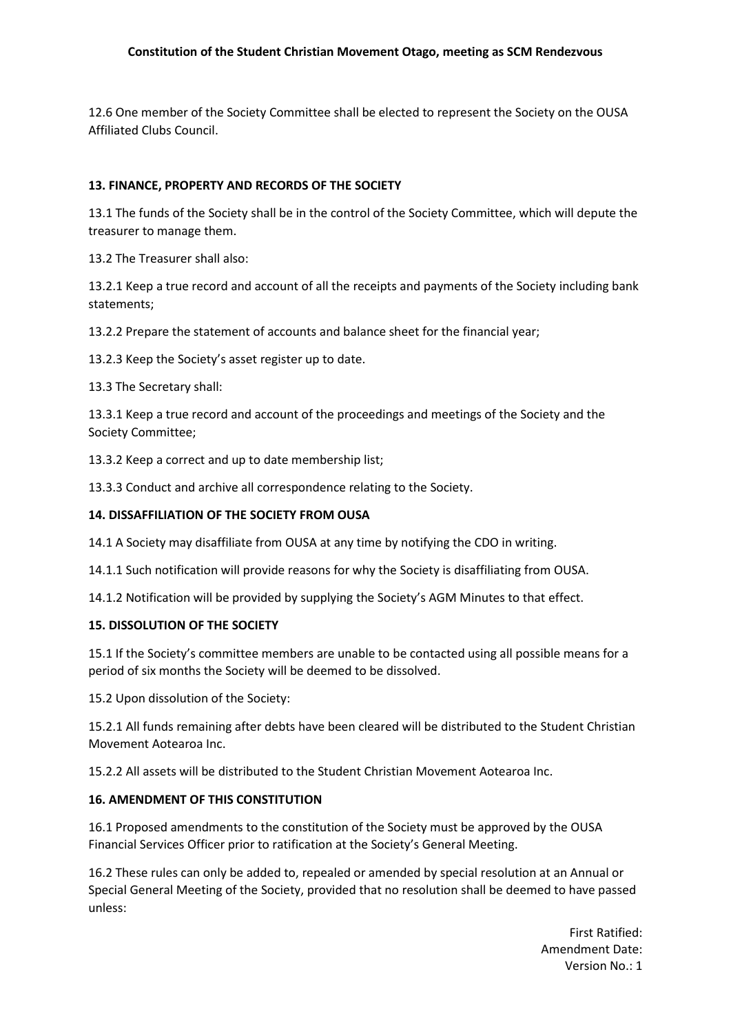12.6 One member of the Society Committee shall be elected to represent the Society on the OUSA Affiliated Clubs Council.

#### **13. FINANCE, PROPERTY AND RECORDS OF THE SOCIETY**

13.1 The funds of the Society shall be in the control of the Society Committee, which will depute the treasurer to manage them.

13.2 The Treasurer shall also:

13.2.1 Keep a true record and account of all the receipts and payments of the Society including bank statements;

13.2.2 Prepare the statement of accounts and balance sheet for the financial year;

13.2.3 Keep the Society's asset register up to date.

13.3 The Secretary shall:

13.3.1 Keep a true record and account of the proceedings and meetings of the Society and the Society Committee;

13.3.2 Keep a correct and up to date membership list;

13.3.3 Conduct and archive all correspondence relating to the Society.

#### **14. DISSAFFILIATION OF THE SOCIETY FROM OUSA**

14.1 A Society may disaffiliate from OUSA at any time by notifying the CDO in writing.

14.1.1 Such notification will provide reasons for why the Society is disaffiliating from OUSA.

14.1.2 Notification will be provided by supplying the Society's AGM Minutes to that effect.

#### **15. DISSOLUTION OF THE SOCIETY**

15.1 If the Society's committee members are unable to be contacted using all possible means for a period of six months the Society will be deemed to be dissolved.

15.2 Upon dissolution of the Society:

15.2.1 All funds remaining after debts have been cleared will be distributed to the Student Christian Movement Aotearoa Inc.

15.2.2 All assets will be distributed to the Student Christian Movement Aotearoa Inc.

#### **16. AMENDMENT OF THIS CONSTITUTION**

16.1 Proposed amendments to the constitution of the Society must be approved by the OUSA Financial Services Officer prior to ratification at the Society's General Meeting.

16.2 These rules can only be added to, repealed or amended by special resolution at an Annual or Special General Meeting of the Society, provided that no resolution shall be deemed to have passed unless: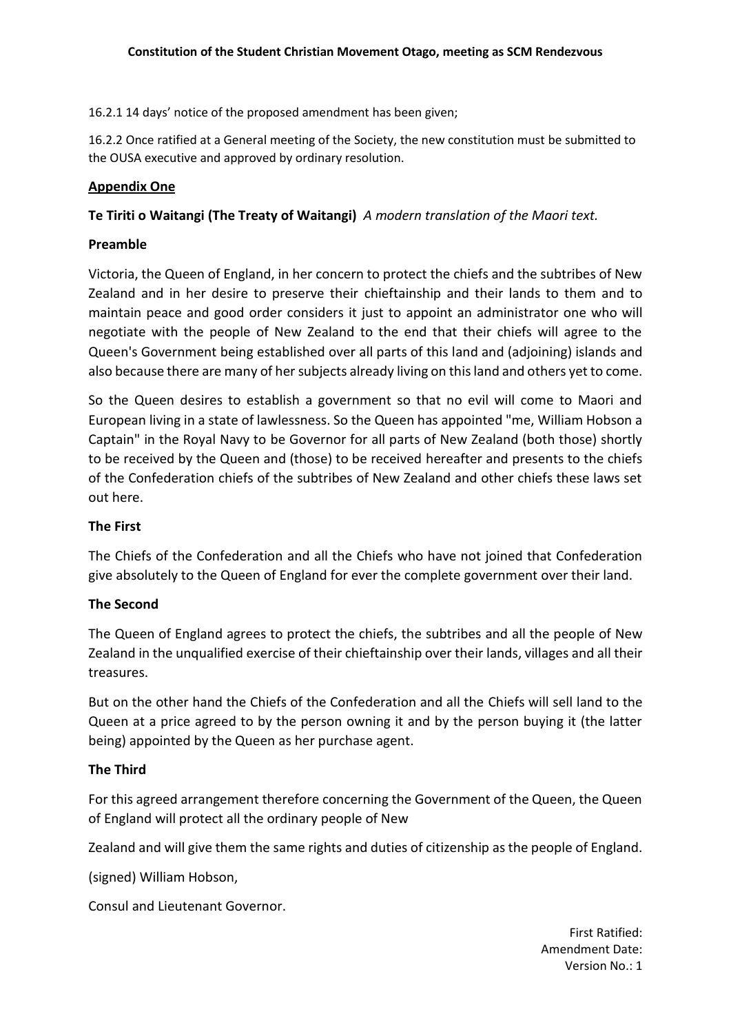16.2.1 14 days' notice of the proposed amendment has been given;

16.2.2 Once ratified at a General meeting of the Society, the new constitution must be submitted to the OUSA executive and approved by ordinary resolution.

# **Appendix One**

**Te Tiriti o Waitangi (The Treaty of Waitangi)** *A modern translation of the Maori text.*

## **Preamble**

Victoria, the Queen of England, in her concern to protect the chiefs and the subtribes of New Zealand and in her desire to preserve their chieftainship and their lands to them and to maintain peace and good order considers it just to appoint an administrator one who will negotiate with the people of New Zealand to the end that their chiefs will agree to the Queen's Government being established over all parts of this land and (adjoining) islands and also because there are many of her subjects already living on this land and others yet to come.

So the Queen desires to establish a government so that no evil will come to Maori and European living in a state of lawlessness. So the Queen has appointed "me, William Hobson a Captain" in the Royal Navy to be Governor for all parts of New Zealand (both those) shortly to be received by the Queen and (those) to be received hereafter and presents to the chiefs of the Confederation chiefs of the subtribes of New Zealand and other chiefs these laws set out here.

# **The First**

The Chiefs of the Confederation and all the Chiefs who have not joined that Confederation give absolutely to the Queen of England for ever the complete government over their land.

## **The Second**

The Queen of England agrees to protect the chiefs, the subtribes and all the people of New Zealand in the unqualified exercise of their chieftainship over their lands, villages and all their treasures.

But on the other hand the Chiefs of the Confederation and all the Chiefs will sell land to the Queen at a price agreed to by the person owning it and by the person buying it (the latter being) appointed by the Queen as her purchase agent.

## **The Third**

For this agreed arrangement therefore concerning the Government of the Queen, the Queen of England will protect all the ordinary people of New

Zealand and will give them the same rights and duties of citizenship as the people of England.

(signed) William Hobson,

Consul and Lieutenant Governor.